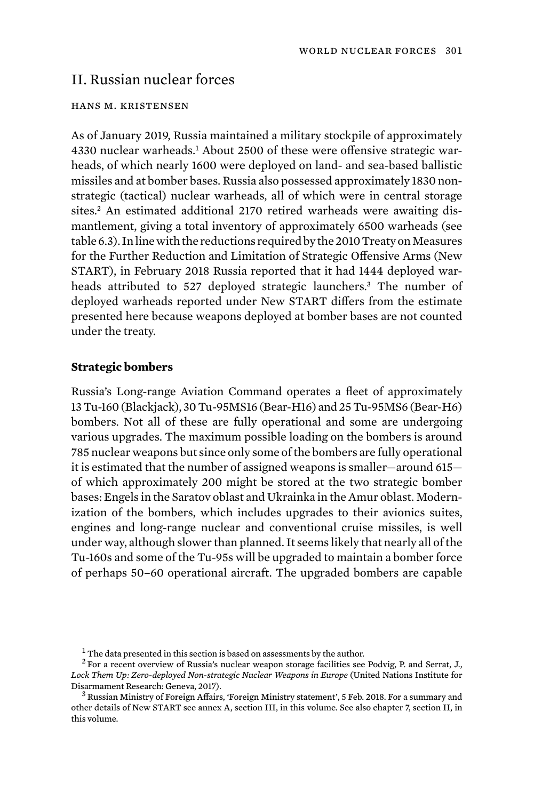# II. Russian nuclear forces

#### hans m. kristensen

As of January 2019, Russia maintained a military stockpile of approximately 4330 nuclear warheads.<sup>1</sup> About 2500 of these were offensive strategic warheads, of which nearly 1600 were deployed on land- and sea-based ballistic missiles and at bomber bases. Russia also possessed approximately 1830 nonstrategic (tactical) nuclear warheads, all of which were in central storage sites.<sup>2</sup> An estimated additional 2170 retired warheads were awaiting dismantlement, giving a total inventory of approximately 6500 warheads (see table 6.3). In line with the reductions required by the 2010 Treaty on Measures for the Further Reduction and Limitation of Strategic Offensive Arms (New START), in February 2018 Russia reported that it had 1444 deployed warheads attributed to 527 deployed strategic launchers.<sup>3</sup> The number of deployed warheads reported under New START differs from the estimate presented here because weapons deployed at bomber bases are not counted under the treaty.

### **Strategic bombers**

Russia's Long-range Aviation Command operates a fleet of approximately 13 Tu-160 (Blackjack), 30 Tu-95MS16 (Bear-H16) and 25 Tu-95MS6 (BearH6) bombers. Not all of these are fully operational and some are undergoing various upgrades. The maximum possible loading on the bombers is around 785 nuclear weapons but since only some of the bombers are fully operational it is estimated that the number of assigned weapons is smaller—around 615 of which approximately 200 might be stored at the two strategic bomber bases: Engels in the Saratov oblast and Ukrainka in the Amur oblast. Modernization of the bombers, which includes upgrades to their avionics suites, engines and long-range nuclear and conventional cruise missiles, is well under way, although slower than planned. It seems likely that nearly all of the Tu-160s and some of the Tu-95s will be upgraded to maintain a bomber force of perhaps 50–60 operational aircraft. The upgraded bombers are capable

 $1$ <sup>1</sup> The data presented in this section is based on assessments by the author.

 $2$  For a recent overview of Russia's nuclear weapon storage facilities see Podvig, P. and Serrat, J., Lock Them Up: Zero-deployed Non-strategic Nuclear Weapons in Europe (United Nations Institute for<br>Disarmament Research: Geneva, 2017).

 $3$  Russian Ministry of Foreign Affairs, 'Foreign Ministry statement', 5 Feb. 2018. For a summary and other details of New START see annex A, section III, in this volume. See also chapter 7, section II, in this volume.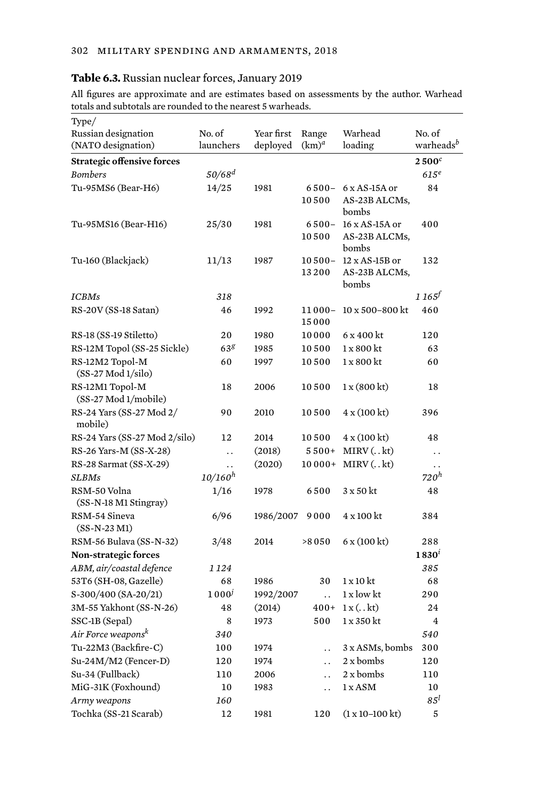# **Table 6.3.** Russian nuclear forces, January 2019

All figures are approximate and are estimates based on assessments by the author. Warhead totals and subtotals are rounded to the nearest 5 warheads.

| Type/                                   |                      |            |                      |                                  |                       |
|-----------------------------------------|----------------------|------------|----------------------|----------------------------------|-----------------------|
| Russian designation                     | No. of               | Year first | Range                | Warhead                          | No. of                |
| (NATO designation)                      | launchers            | deployed   | $(km)^a$             | loading                          | warheads <sup>b</sup> |
| <b>Strategic offensive forces</b>       |                      |            |                      |                                  | $2500^c$              |
| <b>Bombers</b>                          | $50/68^{d}$          |            |                      |                                  | $615^e$               |
| Tu-95MS6 (Bear-H6)                      | 14/25                | 1981       | $6500 -$             | $6x$ AS-15A or                   | 84                    |
|                                         |                      |            | 10500                | AS-23B ALCMs,                    |                       |
|                                         |                      |            |                      | bombs                            |                       |
| Tu-95MS16 (Bear-H16)                    | 25/30                | 1981       | $6500 -$             | 16 x AS-15A or                   | 400                   |
|                                         |                      |            | 10500                | AS-23B ALCMs,<br>bombs           |                       |
| Tu-160 (Blackjack)                      | 11/13                | 1987       | $10500 -$            | 12 x AS-15B or                   | 132                   |
|                                         |                      |            | 13200                | AS-23B ALCMs,                    |                       |
|                                         |                      |            |                      | bombs                            |                       |
| <b>ICBMs</b>                            | 318                  |            |                      |                                  | $1165^{f}$            |
| RS-20V (SS-18 Satan)                    | 46                   | 1992       | $11000 -$            | $10 \times 500 - 800$ kt         | 460                   |
|                                         |                      |            | 15000                |                                  |                       |
| RS-18 (SS-19 Stiletto)                  | 20                   | 1980       | 10000                | 6 x 400 kt                       | 120                   |
| RS-12M Topol (SS-25 Sickle)             | 63 <sup>g</sup>      | 1985       | 10500                | 1 x 800 kt                       | 63                    |
| RS-12M2 Topol-M<br>$(SS-27 Mod 1/silo)$ | 60                   | 1997       | 10500                | $1 \times 800$ kt                | 60                    |
| RS-12M1 Topol-M                         | 18                   | 2006       | 10500                | 1 x (800 kt)                     | 18                    |
| (SS-27 Mod 1/mobile)                    |                      |            |                      |                                  |                       |
| RS-24 Yars (SS-27 Mod 2/<br>mobile)     | 90                   | 2010       | 10500                | $4 \times (100 \text{ kt})$      | 396                   |
| RS-24 Yars (SS-27 Mod 2/silo)           | 12                   | 2014       | 10500                | 4 x (100 kt)                     | 48                    |
| RS-26 Yars-M (SS-X-28)                  | $\ddot{\phantom{a}}$ | (2018)     | $5500+$              | $MIRV$ $(. . kt)$                | $\ddot{\phantom{0}}$  |
| RS-28 Sarmat (SS-X-29)                  | $\ddot{\phantom{0}}$ | (2020)     | $10000+$             | $MIRV$ $(. . kt)$                | . .                   |
| <b>SLBMs</b>                            | $10/160^{h}$         |            |                      |                                  | 720 <sup>h</sup>      |
| RSM-50 Volna                            | 1/16                 | 1978       | 6500                 | $3 \times 50$ kt                 | 48                    |
| (SS-N-18 M1 Stingray)                   |                      |            |                      |                                  |                       |
| RSM-54 Sineva                           | 6/96                 | 1986/2007  | 9000                 | 4 x 100 kt                       | 384                   |
| $(SS-N-23 M1)$                          |                      |            |                      |                                  |                       |
| RSM-56 Bulava (SS-N-32)                 | 3/48                 | 2014       | >8050                | 6 x (100 k t)                    | 288                   |
| <b>Non-strategic forces</b>             |                      |            |                      |                                  | $1830^{t}$            |
| ABM, air/coastal defence                | 1 1 2 4              |            |                      |                                  | 385                   |
| 53T6 (SH-08, Gazelle)                   | 68                   | 1986       | 30                   | $1 \times 10$ kt                 | 68                    |
| $S-300/400$ (SA-20/21)                  | $1000^{j}$           | 1992/2007  | $\ddot{\phantom{a}}$ | 1 x low kt                       | 290                   |
| 3M-55 Yakhont (SS-N-26)                 | 48                   | (2014)     | $400+$               | 1 x (. k t)                      | 24                    |
| SSC-1B (Sepal)                          | 8                    | 1973       | 500                  | 1 x 350 kt                       | $\overline{4}$        |
| Air Force weapons <sup>k</sup>          | 340                  |            |                      |                                  | 540                   |
| Tu-22M3 (Backfire-C)                    | 100                  | 1974       | $\ddot{\phantom{0}}$ | 3 x ASMs, bombs                  | 300                   |
| Su-24M/M2 (Fencer-D)                    | 120                  | 1974       | $\ddot{\phantom{a}}$ | 2 x bombs                        | 120                   |
| Su-34 (Fullback)                        | 110                  | 2006       | $\ddot{\phantom{a}}$ | 2 x bombs                        | 110                   |
| MiG-31K (Foxhound)                      | 10                   | 1983       | $\ddot{\phantom{a}}$ | 1 x ASM                          | 10                    |
| Army weapons                            | 160                  |            |                      |                                  | 8.5 <sup>l</sup>      |
| Tochka (SS-21 Scarab)                   | 12                   | 1981       | 120                  | $(1 \times 10 - 100 \text{ kt})$ | 5                     |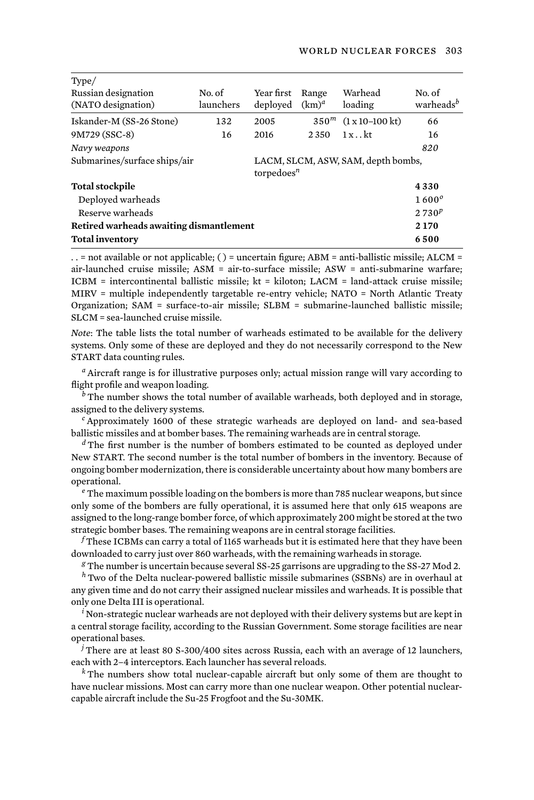| Type/                                   |                                                     |            |                  |                                  |                       |
|-----------------------------------------|-----------------------------------------------------|------------|------------------|----------------------------------|-----------------------|
| Russian designation                     | No. of                                              | Year first | Range            | Warhead                          | No. of                |
| (NATO designation)                      | launchers                                           | deployed   | $(km)^d$         | loading                          | warheads <sup>b</sup> |
| Iskander-M (SS-26 Stone)                | 132                                                 | 2005       | 350 <sup>m</sup> | $(1 \times 10 - 100 \text{ kt})$ | 66                    |
| 9M729 (SSC-8)                           | 16                                                  | 2016       | 2 3 5 0          | $1x$ kt                          | 16                    |
| Navy weapons                            |                                                     |            |                  |                                  | 820                   |
| Submarines/surface ships/air            | LACM, SLCM, ASW, SAM, depth bombs,<br>torpedoes $n$ |            |                  |                                  |                       |
| <b>Total stockpile</b>                  |                                                     |            |                  |                                  | 4330                  |
| Deployed warheads                       |                                                     |            |                  |                                  | $1600^\circ$          |
| Reserve warheads                        |                                                     |            |                  |                                  | $2730^p$              |
| Retired warheads awaiting dismantlement |                                                     |            |                  |                                  |                       |
| <b>Total inventory</b>                  |                                                     |            |                  |                                  | 6500                  |

. . = not available or not applicable; ( ) = uncertain figure; ABM = anti-ballistic missile; ALCM = air-launched cruise missile; ASM = air-to-surface missile; ASW = anti-submarine warfare; ICBM = intercontinental ballistic missile;  $kt = kiloton$ ; LACM = land-attack cruise missile; MIRV = multiple independently targetable re-entry vehicle; NATO = North Atlantic Treaty Organization; SAM = surface-to-air missile; SLBM = submarine-launched ballistic missile; SLCM = sea-launched cruise missile.

*Note*: The table lists the total number of warheads estimated to be available for the delivery systems. Only some of these are deployed and they do not necessarily correspond to the New START data counting rules.

*<sup>a</sup>* Aircraft range is for illustrative purposes only; actual mission range will vary according to flight profile and weapon loading.

<sup>*b*</sup> The number shows the total number of available warheads, both deployed and in storage, assigned to the delivery systems.

*<sup>c</sup>* Approximately 1600 of these strategic warheads are deployed on land- and sea-based ballistic missiles and at bomber bases. The remaining warheads are in central storage.

*<sup>d</sup>* The first number is the number of bombers estimated to be counted as deployed under New START. The second number is the total number of bombers in the inventory. Because of ongoing bomber modernization, there is considerable uncertainty about how many bombers are operational.

*<sup>e</sup>* The maximum possible loading on the bombers is more than 785 nuclear weapons, but since only some of the bombers are fully operational, it is assumed here that only 615 weapons are assigned to the long-range bomber force, of which approximately 200 might be stored at the two strategic bomber bases. The remaining weapons are in central storage facilities.

*<sup>f</sup>* These ICBMs can carry a total of 1165 warheads but it is estimated here that they have been downloaded to carry just over 860 warheads, with the remaining warheads in storage.

*<sup>g</sup>* The number is uncertain because several SS-25 garrisons are upgrading to the SS-27 Mod 2.

*<sup>h</sup>* Two of the Delta nuclear-powered ballistic missile submarines (SSBNs) are in overhaul at any given time and do not carry their assigned nuclear missiles and warheads. It is possible that only one Delta III is operational.

*<sup>i</sup>* Non-strategic nuclear warheads are not deployed with their delivery systems but are kept in a central storage facility, according to the Russian Government. Some storage facilities are near operational bases.

*<sup>j</sup>* There are at least 80 S-300/400 sites across Russia, each with an average of 12 launchers, each with 2–4 interceptors. Each launcher has several reloads.

*<sup>k</sup>* The numbers show total nuclear-capable aircraft but only some of them are thought to have nuclear missions. Most can carry more than one nuclear weapon. Other potential nuclearcapable aircraft include the Su-25 Frogfoot and the Su-30MK.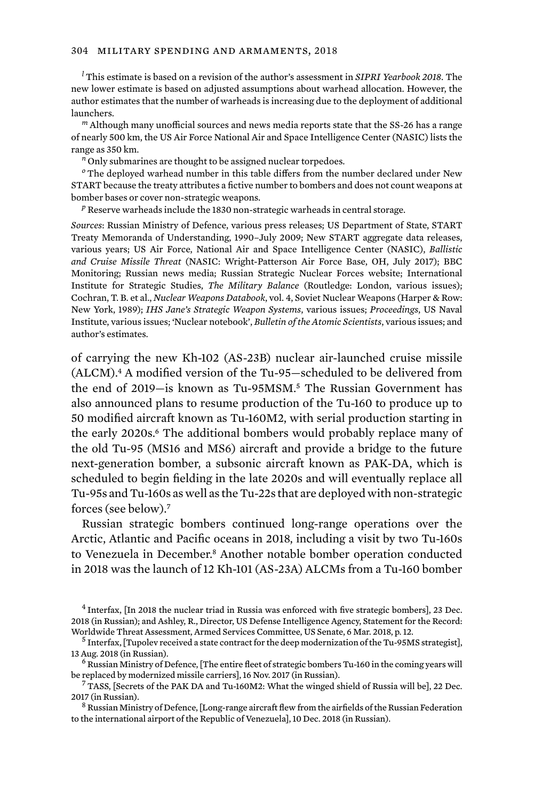*<sup>l</sup>* This estimate is based on a revision of the author's assessment in *SIPRI Yearbook 2018*. The new lower estimate is based on adjusted assumptions about warhead allocation. However, the author estimates that the number of warheads is increasing due to the deployment of additional launchers.

*<sup>m</sup>* Although many unofficial sources and news media reports state that the SS-26 has a range of nearly 500 km, the US Air Force National Air and Space Intelligence Center (NASIC) lists the range as 350 km.

*<sup>n</sup>* Only submarines are thought to be assigned nuclear torpedoes.

*<sup>o</sup>* The deployed warhead number in this table differs from the number declared under New START because the treaty attributes a fictive number to bombers and does not count weapons at bomber bases or cover non-strategic weapons.

*<sup>p</sup>* Reserve warheads include the 1830 non-strategic warheads in central storage.

*Sources*: Russian Ministry of Defence, various press releases; US Department of State, START Treaty Memoranda of Understanding, 1990–July 2009; New START aggregate data releases, various years; US Air Force, National Air and Space Intelligence Center (NASIC), *Ballistic and Cruise Missile Threat* (NASIC: Wright-Patterson Air Force Base, OH, July 2017); BBC Monitoring; Russian news media; Russian Strategic Nuclear Forces website; International Institute for Strategic Studies, *The Military Balance* (Routledge: London, various issues); Cochran, T. B. et al., *Nuclear Weapons Databook*, vol. 4, Soviet Nuclear Weapons (Harper & Row: New York, 1989); *IHS Jane's Strategic Weapon Systems*, various issues; *Proceedings*, US Naval Institute, various issues; 'Nuclear notebook', *Bulletin of the Atomic Scientists*, various issues; and author's estimates.

of carrying the new Kh-102 (AS-23B) nuclear air-launched cruise missile  $(ALCM).4$  A modified version of the Tu-95-scheduled to be delivered from the end of 2019—is known as Tu-95MSM.5 The Russian Government has also announced plans to resume production of the Tu-160 to produce up to 50 modified aircraft known as Tu-160M2, with serial production starting in the early 2020s.<sup>6</sup> The additional bombers would probably replace many of the old Tu-95 (MS16 and MS6) aircraft and provide a bridge to the future next-generation bomber, a subsonic aircraft known as PAK-DA, which is scheduled to begin fielding in the late 2020s and will eventually replace all Tu-95s and Tu-160s as well as the Tu-22s that are deployed with non-strategic forces (see below).<sup>7</sup>

Russian strategic bombers continued long-range operations over the Arctic, Atlantic and Pacific oceans in 2018, including a visit by two Tu-160s to Venezuela in December.<sup>8</sup> Another notable bomber operation conducted in 2018 was the launch of 12 Kh-101 (AS-23A) ALCMs from a Tu-160 bomber

<sup>4</sup> Interfax, [In 2018 the nuclear triad in Russia was enforced with five strategic bombers], 23 Dec. 2018 (in Russian); and Ashley, R., Director, US Defense Intelligence Agency, Statement for the Record: Worldwide Threat Assessment, Armed Services Committee, US Senate, 6 Mar. 2018, p. 12.<br><sup>5</sup> Interfax, [Tupolev received a state contract for the deep modernization of the Tu-95MS strategist],

<sup>13</sup> Aug. 2018 (in Russian).<br><sup>6</sup> Russian Ministry of Defence, [The entire fleet of strategic bombers Tu-160 in the coming years will<br>be replaced by modernized missile carriers], 16 Nov. 2017 (in Russian).

 $7$  TASS, [Secrets of the PAK DA and Tu-160M2: What the winged shield of Russia will be], 22 Dec. 2017 (in Russian).<br><sup>8</sup> Russian Ministry of Defence, [Long-range aircraft flew from the airfields of the Russian Federation

to the international airport of the Republic of Venezuela], 10 Dec. 2018 (in Russian).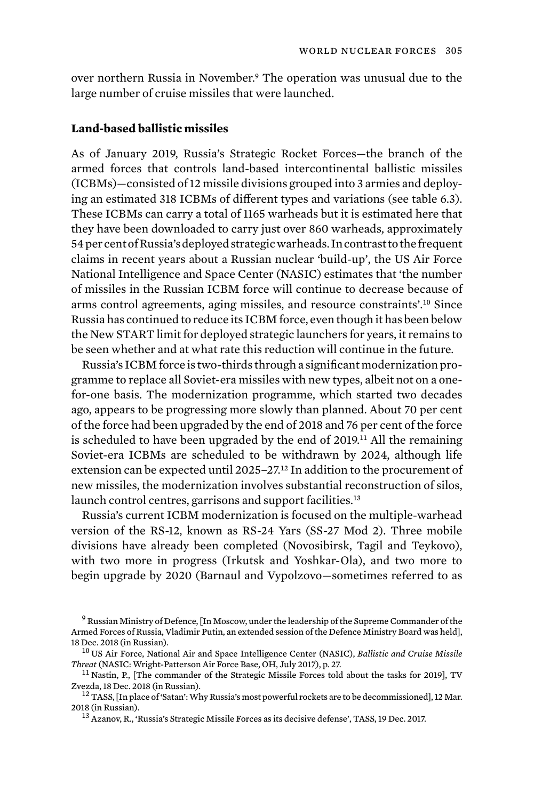over northern Russia in November.9 The operation was unusual due to the large number of cruise missiles that were launched.

## **Land-based ballistic missiles**

As of January 2019, Russia's Strategic Rocket Forces—the branch of the armed forces that controls land-based intercontinental ballistic missiles (ICBMs)—consisted of 12 missile divisions grouped into 3 armies and deploying an estimated 318 ICBMs of different types and variations (see table 6.3). These ICBMs can carry a total of 1165 warheads but it is estimated here that they have been downloaded to carry just over 860 warheads, approximately 54 per cent of Russia's deployed strategic warheads. In contrast to the frequent claims in recent years about a Russian nuclear 'build-up', the US Air Force National Intelligence and Space Center (NASIC) estimates that 'the number of missiles in the Russian ICBM force will continue to decrease because of arms control agreements, aging missiles, and resource constraints'.10 Since Russia has continued to reduce its ICBM force, even though it has been below the New START limit for deployed strategic launchers for years, it remains to be seen whether and at what rate this reduction will continue in the future.

Russia's ICBM force is two-thirds through a significant modernization programme to replace all Soviet-era missiles with new types, albeit not on a onefor-one basis. The modernization programme, which started two decades ago, appears to be progressing more slowly than planned. About 70 per cent of the force had been upgraded by the end of 2018 and 76 per cent of the force is scheduled to have been upgraded by the end of 2019.11 All the remaining Soviet-era ICBMs are scheduled to be withdrawn by 2024, although life extension can be expected until 2025–27.<sup>12</sup> In addition to the procurement of new missiles, the modernization involves substantial reconstruction of silos, launch control centres, garrisons and support facilities.<sup>13</sup>

Russia's current ICBM modernization is focused on the multiple-warhead version of the RS-12, known as RS-24 Yars (SS-27 Mod 2). Three mobile divisions have already been completed (Novosibirsk, Tagil and Teykovo), with two more in progress (Irkutsk and Yoshkar-Ola), and two more to begin upgrade by 2020 (Barnaul and Vypolzovo—sometimes referred to as

<sup>9</sup> Russian Ministry of Defence, [In Moscow, under the leadership of the Supreme Commander of the Armed Forces of Russia, Vladimir Putin, an extended session of the Defence Ministry Board was held],<br>18 Dec. 2018 (in Russian).

<sup>&</sup>lt;sup>10</sup> US Air Force, National Air and Space Intelligence Center (NASIC), *Ballistic and Cruise Missile* 

*Threat* (NASIC: Wright-Patterson Air Force Base, OH, July 2017), p. 27.<br><sup>11</sup> Nastin, P., [The commander of the Strategic Missile Forces told about the tasks for 2019], TV<br>Zvezda, 18 Dec. 2018 (in Russian).

<sup>&</sup>lt;sup>12</sup> TASS, [In place of 'Satan': Why Russia's most powerful rockets are to be decommissioned], 12 Mar. 2018 (in Russian).<br><sup>13</sup> Azanov, R., 'Russia's Strategic Missile Forces as its decisive defense', TASS, 19 Dec. 2017.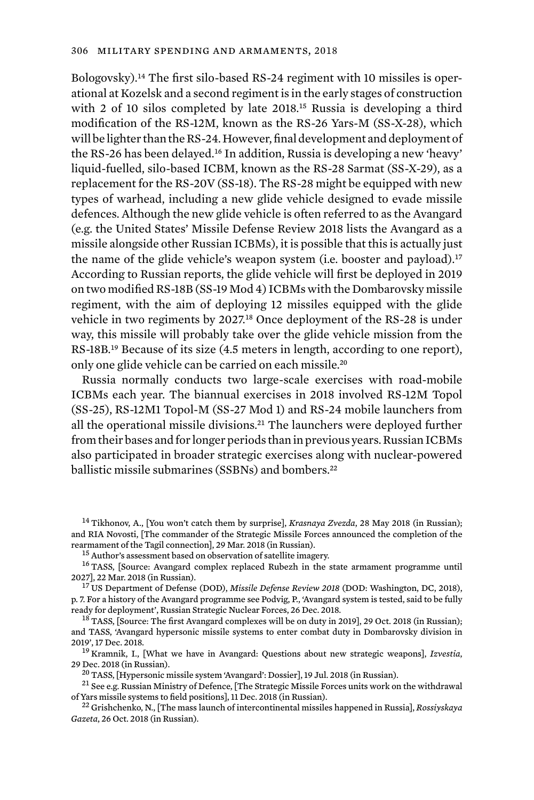Bologovsky).14 The first silo-based RS-24 regiment with 10 missiles is operational at Kozelsk and a second regiment is in the early stages of construction with 2 of 10 silos completed by late 2018.15 Russia is developing a third modification of the RS-12M, known as the RS-26 Yars-M (SS-X-28), which will be lighter than the RS-24. However, final development and deployment of the RS-26 has been delayed.16 In addition, Russia is developing a new 'heavy' liquid-fuelled, silo-based ICBM, known as the RS-28 Sarmat (SS-X-29), as a replacement for the RS-20V (SS-18). The RS-28 might be equipped with new types of warhead, including a new glide vehicle designed to evade missile defences. Although the new glide vehicle is often referred to as the Avangard (e.g. the United States' Missile Defense Review 2018 lists the Avangard as a missile alongside other Russian ICBMs), it is possible that this is actually just the name of the glide vehicle's weapon system (i.e. booster and payload).<sup>17</sup> According to Russian reports, the glide vehicle will first be deployed in 2019 on two modified RS-18B (SS-19 Mod 4) ICBMs with the Dombarovsky missile regiment, with the aim of deploying 12 missiles equipped with the glide vehicle in two regiments by 2027.18 Once deployment of the RS-28 is under way, this missile will probably take over the glide vehicle mission from the RS-18B.<sup>19</sup> Because of its size (4.5 meters in length, according to one report), only one glide vehicle can be carried on each missile.<sup>20</sup>

Russia normally conducts two large-scale exercises with road-mobile ICBMs each year. The biannual exercises in 2018 involved RS-12M Topol (SS-25), RS-12M1 Topol-M (SS-27 Mod 1) and RS-24 mobile launchers from all the operational missile divisions.<sup>21</sup> The launchers were deployed further from their bases and for longer periods than in previous years. Russian ICBMs also participated in broader strategic exercises along with nuclear-powered ballistic missile submarines (SSBNs) and bombers.<sup>22</sup>

<sup>14</sup> Tikhonov, A., [You won't catch them by surprise], *Krasnaya Zvezda*, 28 May 2018 (in Russian); and RIA Novosti, [The commander of the Strategic Missile Forces announced the completion of the

rearmament of the Tagil connection], 29 Mar. 2018 (in Russian).<br><sup>15</sup> Author's assessment based on observation of satellite imagery.<br><sup>16</sup> TASS, [Source: Avangard complex replaced Rubezh in the state armament programme until

<sup>17</sup> US Department of Defense (DOD), *Missile Defense Review 2018* (DOD: Washington, DC, 2018), p. 7. For a history of the Avangard programme see Podvig, P., 'Avangard system is tested, said to be fully ready for deployment', Russian Strategic Nuclear Forces, 26 Dec. 2018.<br><sup>18</sup> TASS, [Source: The first Avangard complexes will be on duty in 2019], 29 Oct. 2018 (in Russian);

and TASS, 'Avangard hypersonic missile systems to enter combat duty in Dombarovsky division in

<sup>19</sup> Kramnik, I., [What we have in Avangard: Questions about new strategic weapons], *Izvestia*, 29 Dec. 2018 (in Russian).

<sup>20</sup> TASS, [Hypersonic missile system 'Avangard': Dossier], 19 Jul. 2018 (in Russian).<br><sup>21</sup> See e.g. Russian Ministry of Defence, [The Strategic Missile Forces units work on the withdrawal<br>of Yars missile systems to field

of Yars missile systems to field positions], 11 Dec. 2018 (in Russian). <sup>22</sup> Grishchenko, N., [The mass launch of intercontinental missiles happened in Russia], *Rossiyskaya Gazeta*, 26 Oct. 2018 (in Russian).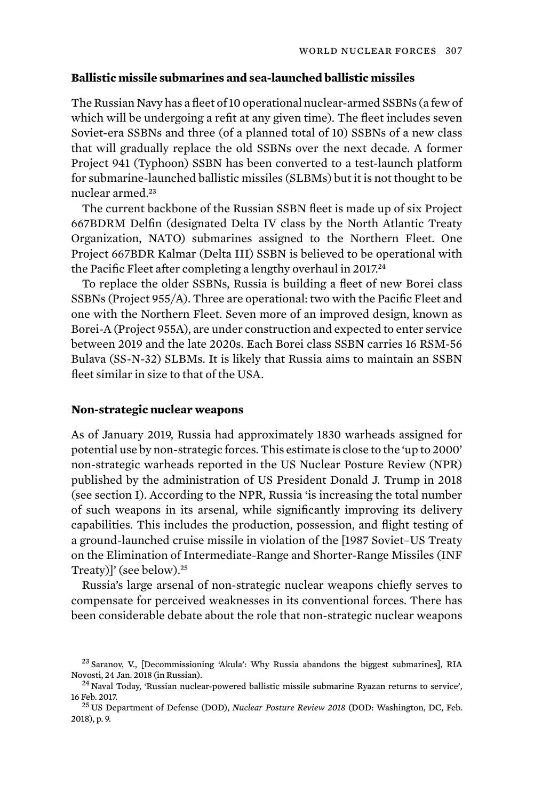## **Ballistic missile submarines and sea-launched ballistic missiles**

The Russian Navy has a fleet of 10 operational nuclear-armed SSBNs (a few of which will be undergoing a refit at any given time). The fleet includes seven Soviet-era SSBNs and three (of a planned total of 10) SSBNs of a new class that will gradually replace the old SSBNs over the next decade. A former Project 941 (Typhoon) SSBN has been converted to a test-launch platform for submarine-launched ballistic missiles (SLBMs) but it is not thought to be nuclear armed.<sup>23</sup>

The current backbone of the Russian SSBN fleet is made up of six Project 667BDRM Delfin (designated Delta IV class by the North Atlantic Treaty Organization, NATO) submarines assigned to the Northern Fleet. One Project 667BDR Kalmar (Delta III) SSBN is believed to be operational with the Pacific Fleet after completing a lengthy overhaul in 2017.<sup>24</sup>

To replace the older SSBNs, Russia is building a fleet of new Borei class SSBNs (Project 955/A). Three are operational: two with the Pacific Fleet and one with the Northern Fleet. Seven more of an improved design, known as Borei-A (Project 955A), are under construction and expected to enter service between 2019 and the late 2020s. Each Borei class SSBN carries 16 RSM-56 Bulava (SS-N-32) SLBMs. It is likely that Russia aims to maintain an SSBN fleet similar in size to that of the USA.

# **Non-strategic nuclear weapons**

As of January 2019, Russia had approximately 1830 warheads assigned for potential use by non-strategic forces. This estimate is close to the 'up to 2000' non-strategic warheads reported in the US Nuclear Posture Review (NPR) published by the administration of US President Donald J. Trump in 2018 (see section I). According to the NPR, Russia 'is increasing the total number of such weapons in its arsenal, while significantly improving its delivery capabilities. This includes the production, possession, and flight testing of a ground-launched cruise missile in violation of the [1987 Soviet–US Treaty on the Elimination of Intermediate-Range and Shorter-Range Missiles (INF Treaty)]' (see below).<sup>25</sup>

Russia's large arsenal of non-strategic nuclear weapons chiefly serves to compensate for perceived weaknesses in its conventional forces. There has been considerable debate about the role that non-strategic nuclear weapons

 $^{23}$  Saranov, V., [Decommissioning 'Akula': Why Russia abandons the biggest submarines], RIA<br>Novosti. 24 Jan. 2018 (in Russian).

 $^{24}$  Naval Today, 'Russian nuclear-powered ballistic missile submarine Ryazan returns to service', 16 Feb. 2017.

<sup>&</sup>lt;sup>25</sup> US Department of Defense (DOD), *Nuclear Posture Review 2018* (DOD: Washington, DC, Feb. 2018), p. 9.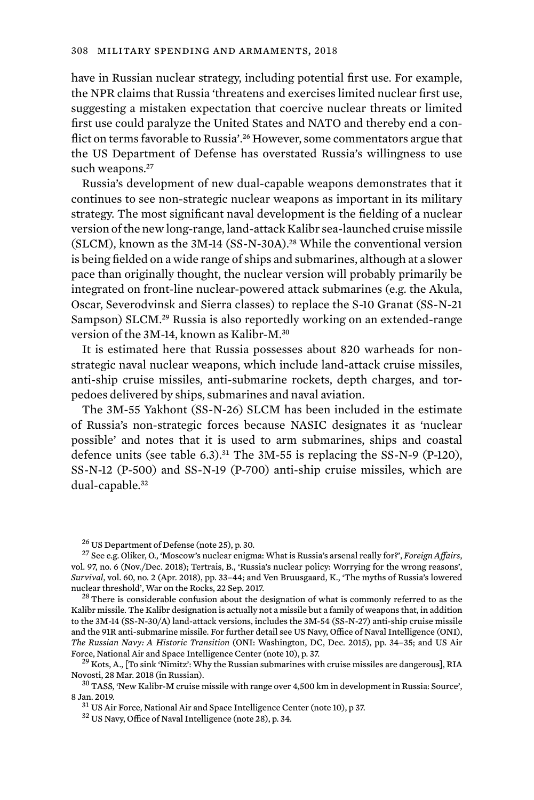have in Russian nuclear strategy, including potential first use. For example, the NPR claims that Russia 'threatens and exercises limited nuclear first use, suggesting a mistaken expectation that coercive nuclear threats or limited first use could paralyze the United States and NATO and thereby end a conflict on terms favorable to Russia'.<sup>26</sup> However, some commentators argue that the US Department of Defense has overstated Russia's willingness to use such weapons.<sup>27</sup>

Russia's development of new dual-capable weapons demonstrates that it continues to see non-strategic nuclear weapons as important in its military strategy. The most significant naval development is the fielding of a nuclear version of the new long-range, land-attack Kalibr sea-launched cruise missile (SLCM), known as the 3M-14 (SS-N-30A).28 While the conventional version is being fielded on a wide range of ships and submarines, although at a slower pace than originally thought, the nuclear version will probably primarily be integrated on front-line nuclear-powered attack submarines (e.g. the Akula, Oscar, Severodvinsk and Sierra classes) to replace the S-10 Granat (SS-N-21 Sampson) SLCM.<sup>29</sup> Russia is also reportedly working on an extended-range version of the 3M-14, known as Kalibr-M.<sup>30</sup>

It is estimated here that Russia possesses about 820 warheads for nonstrategic naval nuclear weapons, which include land-attack cruise missiles, anti-ship cruise missiles, anti-submarine rockets, depth charges, and torpedoes delivered by ships, submarines and naval aviation.

The 3M-55 Yakhont (SS-N-26) SLCM has been included in the estimate of Russia's non-strategic forces because NASIC designates it as 'nuclear possible' and notes that it is used to arm submarines, ships and coastal defence units (see table  $6.3$ ).<sup>31</sup> The 3M-55 is replacing the SS-N-9 (P-120), SS-N-12 (P-500) and SS-N-19 (P-700) anti-ship cruise missiles, which are dual-capable.<sup>32</sup>

Kalibr missile. The Kalibr designation is actually not a missile but a family of weapons that, in addition to the 3M-14 (SS-N-30/A) land-attack versions, includes the 3M-54 (SS-N-27) anti-ship cruise missile and the 91R anti-submarine missile. For further detail see US Navy, Office of Naval Intelligence (ONI), *The Russian Navy: A Historic Transition* (ONI: Washington, DC, Dec. 2015), pp. 34–35; and US Air

Force, National Air and Space Intelligence Center (note 10), p. 37.<br><sup>29</sup> Kots, A., [To sink 'Nimitz': Why the Russian submarines with cruise missiles are dangerous], RIA<br>Novosti. 28 Mar. 2018 (in Russian).

<sup>&</sup>lt;sup>26</sup> US Department of Defense (note 25), p. 30.<br><sup>27</sup> See e.g. Oliker, O., 'Moscow's nuclear enigma: What is Russia's arsenal really for?'*, Foreign Affairs*, vol. 97, no. 6 (Nov./Dec. 2018); Tertrais, B., 'Russia's nuclear policy: Worrying for the wrong reasons', *Survival*, vol. 60, no. 2 (Apr. 2018), pp. 33–44; and Ven Bruusgaard, K., 'The myths of Russia's lowered nuclear threshold', War on the Rocks, 22 Sep. 2017.<br><sup>28</sup> There is considerable confusion about the designation of what is commonly referred to as the

 $^{30}$  TASS, 'New Kalibr-M cruise missile with range over 4,500 km in development in Russia: Source', 8 Jan. 2019.

 $31$  US Air Force, National Air and Space Intelligence Center (note 10), p 37.  $32$  US Navy, Office of Naval Intelligence (note 28), p. 34.